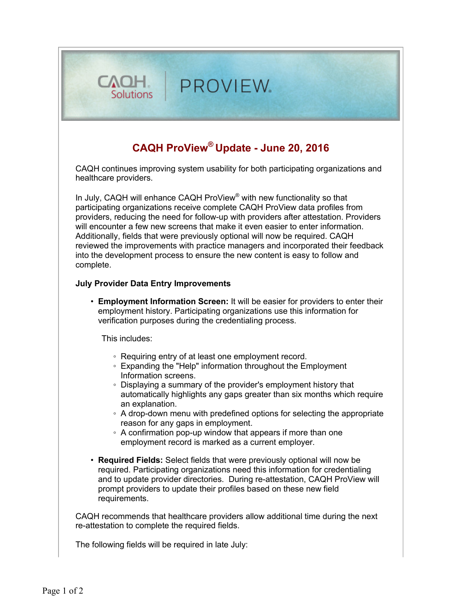## **CAQH ProView® Update - June 20, 2016**

PROVIEW.

 CAQH continues improving system usability for both participating organizations and healthcare providers.

In July, CAQH will enhance CAQH ProView<sup>®</sup> with new functionality so that participating organizations receive complete CAQH ProView data profiles from providers, reducing the need for follow-up with providers after attestation. Providers will encounter a few new screens that make it even easier to enter information. Additionally, fields that were previously optional will now be required. CAQH reviewed the improvements with practice managers and incorporated their feedback into the development process to ensure the new content is easy to follow and complete.

## **July Provider Data Entry Improvements**

**• Employment Information Screen:** It will be easier for providers to enter their employment history. Participating organizations use this information for verification purposes during the credentialing process.

This includes:

Solutions

- Requiring entry of at least one employment record.
- ◦ Expanding the "Help" information throughout the Employment Information screens.
- ◦ Displaying a summary of the provider's employment history that automatically highlights any gaps greater than six months which require an explanation.
- ◦ A drop-down menu with predefined options for selecting the appropriate reason for any gaps in employment.
- ◦ A confirmation pop-up window that appears if more than one employment record is marked as a current employer.
- **Required Fields:** Select fields that were previously optional will now be required. Participating organizations need this information for credentialing and to update provider directories. During re-attestation, CAQH ProView will prompt providers to update their profiles based on these new field requirements.

 requirements. CAQH recommends that healthcare providers allow additional time during the next re-attestation to complete the required fields.

The following fields will be required in late July: